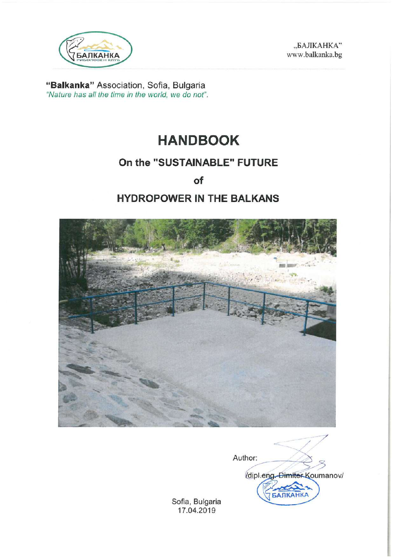

"БАЛКАНКА" www.balkanka.bg

"Balkanka" Association, Sofia, Bulgaria "Nature has all the time in the world, we do not".

# **HANDBOOK**

# On the "SUSTAINABLE" FUTURE

of

# **HYDROPOWER IN THE BALKANS**



Author: dipl.eng.Dimiter Koumanov/ **АЛКАНКА** 

Sofia, Bulgaria 17.04.2019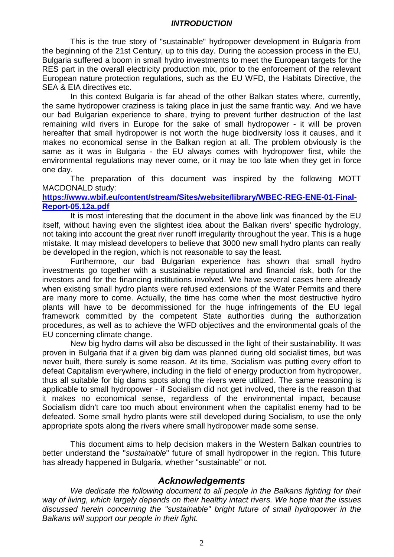#### *INTRODUCTION*

This is the true story of "sustainable" hydropower development in Bulgaria from the beginning of the 21st Century, up to this day. During the accession process in the EU, Bulgaria suffered a boom in small hydro investments to meet the European targets for the RES part in the overall electricity production mix, prior to the enforcement of the relevant European nature protection regulations, such as the EU WFD, the Habitats Directive, the SEA & EIA directives etc.

In this context Bulgaria is far ahead of the other Balkan states where, currently, the same hydropower craziness is taking place in just the same frantic way. And we have our bad Bulgarian experience to share, trying to prevent further destruction of the last remaining wild rivers in Europe for the sake of small hydropower - it will be proven hereafter that small hydropower is not worth the huge biodiversity loss it causes, and it makes no economical sense in the Balkan region at all. The problem obviously is the same as it was in Bulgaria - the EU always comes with hydropower first, while the environmental regulations may never come, or it may be too late when they get in force one day.

The preparation of this document was inspired by the following MOTT MACDONALD study:

# **[https://www.wbif.eu/content/stream/Sites/website/library/WBEC-REG-ENE-01-Final-](https://www.wbif.eu/content/stream/Sites/website/library/WBEC-REG-ENE-01-Final-Report-05.12a.pdf)[Report-05.12a.pdf](https://www.wbif.eu/content/stream/Sites/website/library/WBEC-REG-ENE-01-Final-Report-05.12a.pdf)**

It is most interesting that the document in the above link was financed by the EU itself, without having even the slightest idea about the Balkan rivers' specific hydrology, not taking into account the great river runoff irregularity throughout the year. This is a huge mistake. It may mislead developers to believe that 3000 new small hydro plants can really be developed in the region, which is not reasonable to say the least.

Furthermore, our bad Bulgarian experience has shown that small hydro investments go together with a sustainable reputational and financial risk, both for the investors and for the financing institutions involved. We have several cases here already when existing small hydro plants were refused extensions of the Water Permits and there are many more to come. Actually, the time has come when the most destructive hydro plants will have to be decommissioned for the huge infringements of the EU legal framework committed by the competent State authorities during the authorization procedures, as well as to achieve the WFD objectives and the environmental goals of the EU concerning climate change.

New big hydro dams will also be discussed in the light of their sustainability. It was proven in Bulgaria that if a given big dam was planned during old socialist times, but was never built, there surely is some reason. At its time, Socialism was putting every effort to defeat Capitalism everywhere, including in the field of energy production from hydropower, thus all suitable for big dams spots along the rivers were utilized. The same reasoning is applicable to small hydropower - if Socialism did not get involved, there is the reason that it makes no economical sense, regardless of the environmental impact, because Socialism didn't care too much about environment when the capitalist enemy had to be defeated. Some small hydro plants were still developed during Socialism, to use the only appropriate spots along the rivers where small hydropower made some sense.

This document aims to help decision makers in the Western Balkan countries to better understand the "*sustainable*" future of small hydropower in the region. This future has already happened in Bulgaria, whether "sustainable" or not.

# *Acknowledgements*

*We dedicate the following document to all people in the Balkans fighting for their way of living, which largely depends on their healthy intact rivers. We hope that the issues discussed herein concerning the "sustainable" bright future of small hydropower in the Balkans will support our people in their fight.*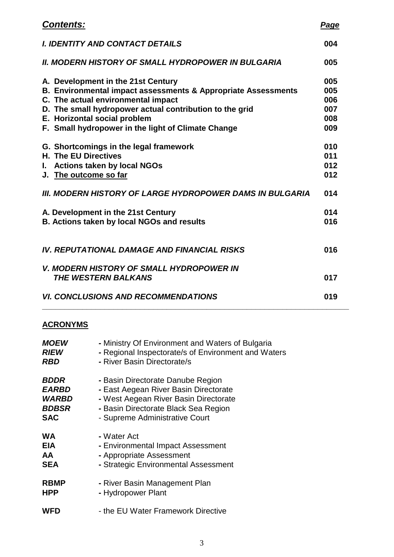| <b>Contents:</b>                                                | <b>Page</b> |
|-----------------------------------------------------------------|-------------|
| <b>I. IDENTITY AND CONTACT DETAILS</b>                          | 004         |
| <b>II. MODERN HISTORY OF SMALL HYDROPOWER IN BULGARIA</b>       | 005         |
| A. Development in the 21st Century                              | 005         |
| B. Environmental impact assessments & Appropriate Assessments   | 005         |
| C. The actual environmental impact                              | 006         |
| D. The small hydropower actual contribution to the grid         | 007         |
| E. Horizontal social problem                                    | 008         |
| F. Small hydropower in the light of Climate Change              | 009         |
| G. Shortcomings in the legal framework                          | 010         |
| <b>H. The EU Directives</b>                                     | 011         |
| <b>Actions taken by local NGOs</b><br>L.                        | 012         |
| J. The outcome so far                                           | 012         |
|                                                                 |             |
| <b>III. MODERN HISTORY OF LARGE HYDROPOWER DAMS IN BULGARIA</b> | 014         |
| A. Development in the 21st Century                              | 014         |
| <b>B. Actions taken by local NGOs and results</b>               | 016         |
|                                                                 |             |
| <b>IV. REPUTATIONAL DAMAGE AND FINANCIAL RISKS</b>              | 016         |
| <b>V. MODERN HISTORY OF SMALL HYDROPOWER IN</b>                 |             |
| THE WESTERN BALKANS                                             | 017         |
| <b>VI. CONCLUSIONS AND RECOMMENDATIONS</b>                      | 019         |
|                                                                 |             |

# **ACRONYMS**

| <b>MOEW</b>        | - Ministry Of Environment and Waters of Bulgaria    |
|--------------------|-----------------------------------------------------|
| <b>RIEW</b>        | - Regional Inspectorate/s of Environment and Waters |
| <b>RBD</b>         | - River Basin Directorate/s                         |
| <i><b>BDDR</b></i> | - Basin Directorate Danube Region                   |
| <b>EARBD</b>       | - East Aegean River Basin Directorate               |
| <b>WARBD</b>       | - West Aegean River Basin Directorate               |
| <b>BDBSR</b>       | - Basin Directorate Black Sea Region                |
| <b>SAC</b>         | - Supreme Administrative Court                      |
| <b>WA</b>          | - Water Act                                         |
| <b>EIA</b>         | - Environmental Impact Assessment                   |
| <b>AA</b>          | - Appropriate Assessment                            |
| <b>SEA</b>         | - Strategic Environmental Assessment                |
| <b>RBMP</b>        | - River Basin Management Plan                       |
| <b>HPP</b>         | - Hydropower Plant                                  |
| WFD                | - the EU Water Framework Directive                  |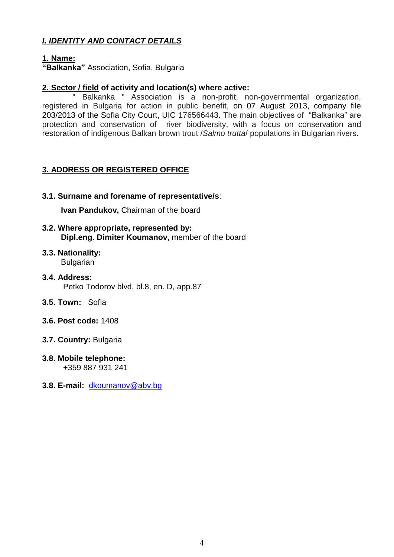# *I. IDENTITY AND CONTACT DETAILS*

# **1. Name:**

**"Balkanka"** Association, Sofia, Bulgaria

# **2. Sector / field of activity and location(s) where active:**

Balkanka " Association is a non-profit, non-governmental organization, registered in Bulgaria for action in public benefit, on 07 August 2013, company file 203/2013 of the Sofia City Court, UIC 176566443. The main objectives of "Balkanka" are protection and conservation of river biodiversity, with a focus on conservation and restoration of indigenous Balkan brown trout /*Salmo trutta*/ populations in Bulgarian rivers.

# **3. ADDRESS OR REGISTERED OFFICE**

# **3.1. Surname and forename of representative/s**:

**Ivan Pandukov,** Chairman of the board

- **3.2. Where appropriate, represented by: Dipl.eng. Dimiter Koumanov**, member of the board
- **3.3. Nationality:** Bulgarian
- **3.4. Address:** Petko Todorov blvd, bl.8, en. D, app.87
- **3.5. Town:** Sofia
- **3.6. Post code:** 1408
- **3.7. Country:** Bulgaria
- **3.8. Mobile telephone:** +359 887 931 241
- **3.8. E-mail:** [dkoumanov@abv.bg](mailto:dkoumanov@abv.bg)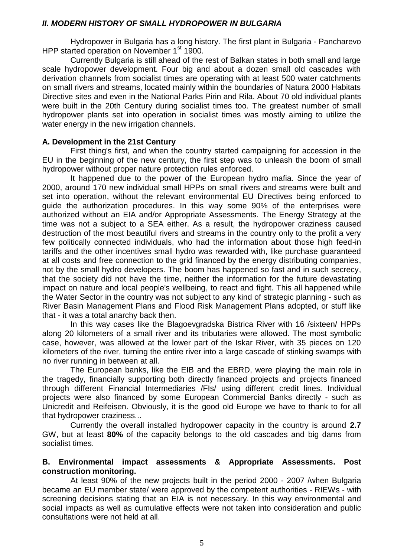### *II. MODERN HISTORY OF SMALL HYDROPOWER IN BULGARIA*

Hydropower in Bulgaria has a long history. The first plant in Bulgaria - Pancharevo HPP started operation on November 1<sup>st</sup> 1900.

Currently Bulgaria is still ahead of the rest of Balkan states in both small and large scale hydropower development. Four big and about a dozen small old cascades with derivation channels from socialist times are operating with at least 500 water catchments on small rivers and streams, located mainly within the boundaries of Natura 2000 Habitats Directive sites and even in the National Parks Pirin and Rila. About 70 old individual plants were built in the 20th Century during socialist times too. The greatest number of small hydropower plants set into operation in socialist times was mostly aiming to utilize the water energy in the new irrigation channels.

# **A. Development in the 21st Century**

First thing's first, and when the country started campaigning for accession in the EU in the beginning of the new century, the first step was to unleash the boom of small hydropower without proper nature protection rules enforced.

It happened due to the power of the European hydro mafia. Since the year of 2000, around 170 new individual small HPPs on small rivers and streams were built and set into operation, without the relevant environmental EU Directives being enforced to guide the authorization procedures. In this way some 90% of the enterprises were authorized without an EIA and/or Appropriate Assessments. The Energy Strategy at the time was not a subject to a SEA either. As a result, the hydropower craziness caused destruction of the most beautiful rivers and streams in the country only to the profit a very few politically connected individuals, who had the information about those high feed-in tariffs and the other incentives small hydro was rewarded with, like purchase guaranteed at all costs and free connection to the grid financed by the energy distributing companies, not by the small hydro developers. The boom has happened so fast and in such secrecy, that the society did not have the time, neither the information for the future devastating impact on nature and local people's wellbeing, to react and fight. This all happened while the Water Sector in the country was not subject to any kind of strategic planning - such as River Basin Management Plans and Flood Risk Management Plans adopted, or stuff like that - it was a total anarchy back then.

In this way cases like the Blagoevgradska Bistrica River with 16 /sixteen/ HPPs along 20 kilometers of a small river and its tributaries were allowed. The most symbolic case, however, was allowed at the lower part of the Iskar River, with 35 pieces on 120 kilometers of the river, turning the entire river into a large cascade of stinking swamps with no river running in between at all.

The European banks, like the EIB and the EBRD, were playing the main role in the tragedy, financially supporting both directly financed projects and projects financed through different Financial Intermediaries /FIs/ using different credit lines. Individual projects were also financed by some European Commercial Banks directly - such as Unicredit and Reifeisen. Obviously, it is the good old Europe we have to thank to for all that hydropower craziness...

Currently the overall installed hydropower capacity in the country is around **2.7** GW, but at least **80%** of the capacity belongs to the old cascades and big dams from socialist times.

# **B. Environmental impact assessments & Appropriate Assessments. Post construction monitoring.**

At least 90% of the new projects built in the period 2000 - 2007 /when Bulgaria became an EU member state/ were approved by the competent authorities - RIEWs - with screening decisions stating that an EIA is not necessary. In this way environmental and social impacts as well as cumulative effects were not taken into consideration and public consultations were not held at all.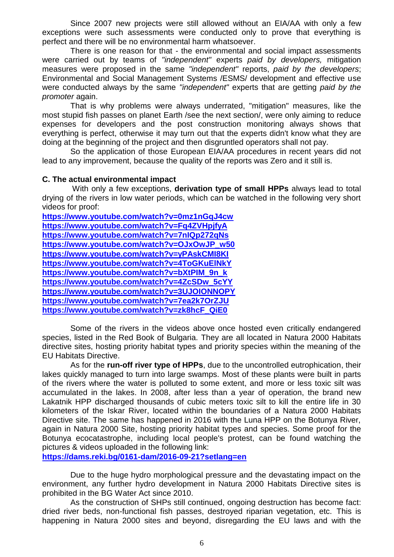Since 2007 new projects were still allowed without an EIA/AA with only a few exceptions were such assessments were conducted only to prove that everything is perfect and there will be no environmental harm whatsoever.

There is one reason for that - the environmental and social impact assessments were carried out by teams of *"independent"* experts *paid by developers,* mitigation measures were proposed in the same *"independent"* reports, *paid by the developers*; Environmental and Social Management Systems /ESMS/ development and effective use were conducted always by the same *"independent"* experts that are getting *paid by the promoter* again.

That is why problems were always underrated, "mitigation" measures, like the most stupid fish passes on planet Earth /see the next section/, were only aiming to reduce expenses for developers and the post construction monitoring always shows that everything is perfect, otherwise it may turn out that the experts didn't know what they are doing at the beginning of the project and then disgruntled operators shall not pay.

So the application of those European EIA/AA procedures in recent years did not lead to any improvement, because the quality of the reports was Zero and it still is.

#### **C. The actual environmental impact**

With only a few exceptions, **derivation type of small HPPs** always lead to total drying of the rivers in low water periods, which can be watched in the following very short videos for proof:

| https://www.youtube.com/watch?v=0mz1nGqJ4cw |
|---------------------------------------------|
| https://www.youtube.com/watch?v=Fq4ZVHpjfyA |
| https://www.youtube.com/watch?v=7nIQp272qNs |
| https://www.youtube.com/watch?v=OJxOwJP_w50 |
| https://www.youtube.com/watch?v=yPAskCMI8KI |
| https://www.youtube.com/watch?v=4ToGKuEINkY |
| https://www.youtube.com/watch?v=bXtPIM 9n k |
| https://www.youtube.com/watch?v=4ZcSDw 5cYY |
| https://www.youtube.com/watch?v=3UJOIONNOPY |
| https://www.youtube.com/watch?v=7ea2k7OrZJU |
| https://www.youtube.com/watch?v=zk8hcF_QiE0 |

Some of the rivers in the videos above once hosted even critically endangered species, listed in the Red Book of Bulgaria. They are all located in Natura 2000 Habitats directive sites, hosting priority habitat types and priority species within the meaning of the EU Habitats Directive.

As for the **run-off river type of HPPs**, due to the uncontrolled eutrophication, their lakes quickly managed to turn into large swamps. Most of these plants were built in parts of the rivers where the water is polluted to some extent, and more or less toxic silt was accumulated in the lakes. In 2008, after less than a year of operation, the brand new Lakatnik HPP discharged thousands of cubic meters toxic silt to kill the entire life in 30 kilometers of the Iskar River, located within the boundaries of a Natura 2000 Habitats Directive site. The same has happened in 2016 with the Luna HPP on the Botunya River, again in Natura 2000 Site, hosting priority habitat types and species. Some proof for the Botunya ecocatastrophe, including local people's protest, can be found watching the pictures & videos uploaded in the following link:

**<https://dams.reki.bg/0161-dam/2016-09-21?setlang=en>**

Due to the huge hydro morphological pressure and the devastating impact on the environment, any further hydro development in Natura 2000 Habitats Directive sites is prohibited in the BG Water Act since 2010.

As the construction of SHPs still continued, ongoing destruction has become fact: dried river beds, non-functional fish passes, destroyed riparian vegetation, etc. This is happening in Natura 2000 sites and beyond, disregarding the EU laws and with the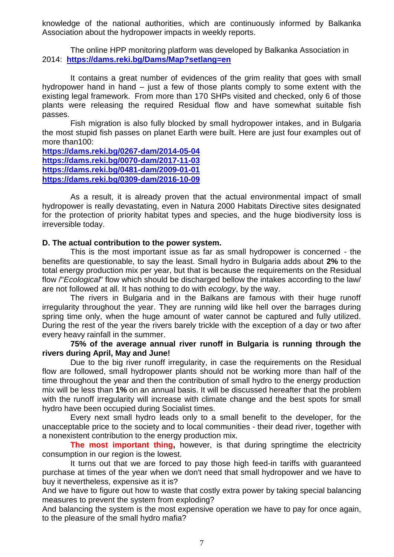knowledge of the national authorities, which are continuously informed by Balkanka Association about the hydropower impacts in weekly reports.

The online HPP monitoring platform was developed by Balkanka Association in 2014: **<https://dams.reki.bg/Dams/Map?setlang=en>**

It contains a great number of evidences of the grim reality that goes with small hydropower hand in hand – just a few of those plants comply to some extent with the existing legal framework. From more than 170 SHPs visited and checked, only 6 of those plants were releasing the required Residual flow and have somewhat suitable fish passes.

Fish migration is also fully blocked by small hydropower intakes, and in Bulgaria the most stupid fish passes on planet Earth were built. Here are just four examples out of more than100:

**<https://dams.reki.bg/0267-dam/2014-05-04> <https://dams.reki.bg/0070-dam/2017-11-03> <https://dams.reki.bg/0481-dam/2009-01-01> <https://dams.reki.bg/0309-dam/2016-10-09>**

As a result, it is already proven that the actual environmental impact of small hydropower is really devastating, even in Natura 2000 Habitats Directive sites designated for the protection of priority habitat types and species, and the huge biodiversity loss is irreversible today.

# **D. The actual contribution to the power system.**

This is the most important issue as far as small hydropower is concerned - the benefits are questionable, to say the least. Small hydro in Bulgaria adds about **2%** to the total energy production mix per year, but that is because the requirements on the Residual flow /"*Ecological*" flow which should be discharged bellow the intakes according to the law/ are not followed at all. It has nothing to do with *ecology*, by the way.

The rivers in Bulgaria and in the Balkans are famous with their huge runoff irregularity throughout the year. They are running wild like hell over the barrages during spring time only, when the huge amount of water cannot be captured and fully utilized. During the rest of the year the rivers barely trickle with the exception of a day or two after every heavy rainfall in the summer.

**75% of the average annual river runoff in Bulgaria is running through the rivers during April, May and June!**

Due to the big river runoff irregularity, in case the requirements on the Residual flow are followed, small hydropower plants should not be working more than half of the time throughout the year and then the contribution of small hydro to the energy production mix will be less than **1%** on an annual basis. It will be discussed hereafter that the problem with the runoff irregularity will increase with climate change and the best spots for small hydro have been occupied during Socialist times.

Every next small hydro leads only to a small benefit to the developer, for the unacceptable price to the society and to local communities - their dead river, together with a nonexistent contribution to the energy production mix.

**The most important thing,** however, is that during springtime the electricity consumption in our region is the lowest.

It turns out that we are forced to pay those high feed-in tariffs with guaranteed purchase at times of the year when we don't need that small hydropower and we have to buy it nevertheless, expensive as it is?

And we have to figure out how to waste that costly extra power by taking special balancing measures to prevent the system from exploding?

And balancing the system is the most expensive operation we have to pay for once again, to the pleasure of the small hydro mafia?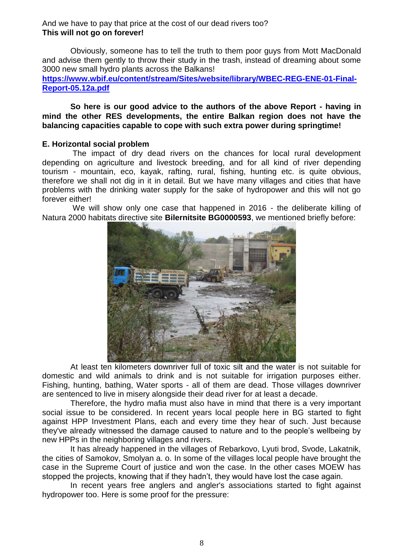And we have to pay that price at the cost of our dead rivers too? **This will not go on forever!**

Obviously, someone has to tell the truth to them poor guys from Mott MacDonald and advise them gently to throw their study in the trash, instead of dreaming about some 3000 new small hydro plants across the Balkans!

**[https://www.wbif.eu/content/stream/Sites/website/library/WBEC-REG-ENE-01-Final-](https://www.wbif.eu/content/stream/Sites/website/library/WBEC-REG-ENE-01-Final-Report-05.12a.pdf)[Report-05.12a.pdf](https://www.wbif.eu/content/stream/Sites/website/library/WBEC-REG-ENE-01-Final-Report-05.12a.pdf)**

**So here is our good advice to the authors of the above Report - having in mind the other RES developments, the entire Balkan region does not have the balancing capacities capable to cope with such extra power during springtime!**

#### **E. Horizontal social problem**

The impact of dry dead rivers on the chances for local rural development depending on agriculture and livestock breeding, and for all kind of river depending tourism - mountain, eco, kayak, rafting, rural, fishing, hunting etc. is quite obvious, therefore we shall not dig in it in detail. But we have many villages and cities that have problems with the drinking water supply for the sake of hydropower and this will not go forever either!

We will show only one case that happened in 2016 - the deliberate killing of Natura 2000 habitats directive site **Bilernitsite BG0000593**, we mentioned briefly before:



At least ten kilometers downriver full of toxic silt and the water is not suitable for domestic and wild animals to drink and is not suitable for irrigation purposes either. Fishing, hunting, bathing, Water sports - all of them are dead. Those villages downriver are sentenced to live in misery alongside their dead river for at least a decade.

Therefore, the hydro mafia must also have in mind that there is a very important social issue to be considered. In recent years local people here in BG started to fight against HPP Investment Plans, each and every time they hear of such. Just because they've already witnessed the damage caused to nature and to the people's wellbeing by new HPPs in the neighboring villages and rivers.

It has already happened in the villages of Rebarkovo, Lyuti brod, Svode, Lakatnik, the cities of Samokov, Smolyan a. o. In some of the villages local people have brought the case in the Supreme Court of justice and won the case. In the other cases MOEW has stopped the projects, knowing that if they hadn't, they would have lost the case again.

In recent years free anglers and angler's associations started to fight against hydropower too. Here is some proof for the pressure: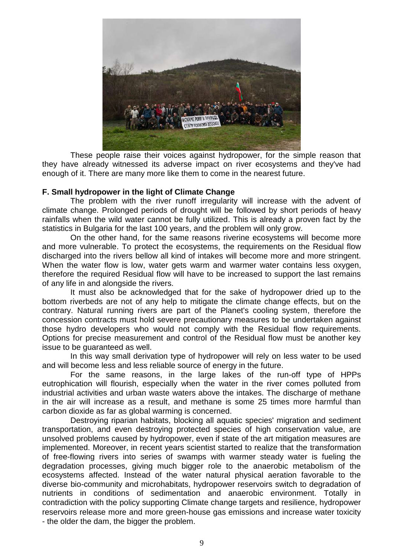

These people raise their voices against hydropower, for the simple reason that they have already witnessed its adverse impact on river ecosystems and they've had enough of it. There are many more like them to come in the nearest future.

#### **F. Small hydropower in the light of Climate Change**

The problem with the river runoff irregularity will increase with the advent of climate change. Prolonged periods of drought will be followed by short periods of heavy rainfalls when the wild water cannot be fully utilized. This is already a proven fact by the statistics in Bulgaria for the last 100 years, and the problem will only grow.

On the other hand, for the same reasons riverine ecosystems will become more and more vulnerable. To protect the ecosystems, the requirements on the Residual flow discharged into the rivers bellow all kind of intakes will become more and more stringent. When the water flow is low, water gets warm and warmer water contains less oxygen, therefore the required Residual flow will have to be increased to support the last remains of any life in and alongside the rivers.

It must also be acknowledged that for the sake of hydropower dried up to the bottom riverbeds are not of any help to mitigate the climate change effects, but on the contrary. Natural running rivers are part of the Planet's cooling system, therefore the concession contracts must hold severe precautionary measures to be undertaken against those hydro developers who would not comply with the Residual flow requirements. Options for precise measurement and control of the Residual flow must be another key issue to be guaranteed as well.

In this way small derivation type of hydropower will rely on less water to be used and will become less and less reliable source of energy in the future.

For the same reasons, in the large lakes of the run-off type of HPPs eutrophication will flourish, especially when the water in the river comes polluted from industrial activities and urban waste waters above the intakes. The discharge of methane in the air will increase as a result, and methane is some 25 times more harmful than carbon dioxide as far as global warming is concerned.

Destroying riparian habitats, blocking all aquatic species' migration and sediment transportation, and even destroying protected species of high conservation value, are unsolved problems caused by hydropower, even if state of the art mitigation measures are implemented. Moreover, in recent years scientist started to realize that the transformation of free-flowing rivers into series of swamps with warmer steady water is fueling the degradation processes, giving much bigger role to the anaerobic metabolism of the ecosystems affected. Instead of the water natural physical aeration favorable to the diverse bio-community and microhabitats, hydropower reservoirs switch to degradation of nutrients in conditions of sedimentation and anaerobic environment. Totally in contradiction with the policy supporting Climate change targets and resilience, hydropower reservoirs release more and more green-house gas emissions and increase water toxicity - the older the dam, the bigger the problem.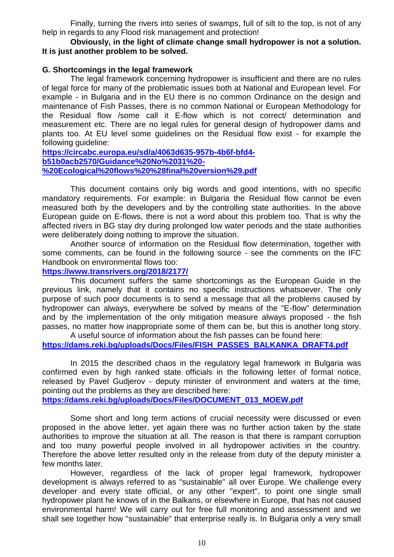Finally, turning the rivers into series of swamps, full of silt to the top, is not of any help in regards to any Flood risk management and protection!

# **Obviously, in the light of climate change small hydropower is not a solution. It is just another problem to be solved.**

### **G. Shortcomings in the legal framework**

The legal framework concerning hydropower is insufficient and there are no rules of legal force for many of the problematic issues both at National and European level. For example - in Bulgaria and in the EU there is no common Ordinance on the design and maintenance of Fish Passes, there is no common National or European Methodology for the Residual flow /some call it E-flow which is not correct/ determination and measurement etc. There are no legal rules for general design of hydropower dams and plants too. At EU level some guidelines on the Residual flow exist - for example the following guideline:

**[https://circabc.europa.eu/sd/a/4063d635-957b-4b6f-bfd4](https://circabc.europa.eu/sd/a/4063d635-957b-4b6f-bfd4-b51b0acb2570/Guidance%20No%2031%20-%20Ecological%20flows%20%28final%20version%29.pdf) [b51b0acb2570/Guidance%20No%2031%20-](https://circabc.europa.eu/sd/a/4063d635-957b-4b6f-bfd4-b51b0acb2570/Guidance%20No%2031%20-%20Ecological%20flows%20%28final%20version%29.pdf) [%20Ecological%20flows%20%28final%20version%29.pdf](https://circabc.europa.eu/sd/a/4063d635-957b-4b6f-bfd4-b51b0acb2570/Guidance%20No%2031%20-%20Ecological%20flows%20%28final%20version%29.pdf)**

This document contains only big words and good intentions, with no specific mandatory requirements. For example: in Bulgaria the Residual flow cannot be even measured both by the developers and by the controlling state authorities. In the above European guide on E-flows, there is not a word about this problem too. That is why the affected rivers in BG stay dry during prolonged low water periods and the state authorities were deliberately doing nothing to improve the situation.

Another source of information on the Residual flow determination, together with some comments, can be found in the following source - see the comments on the IFC Handbook on environmental flows too:

#### **<https://www.transrivers.org/2018/2177/>**

This document suffers the same shortcomings as the European Guide in the previous link, namely that it contains no specific instructions whatsoever. The only purpose of such poor documents is to send a message that all the problems caused by hydropower can always, everywhere be solved by means of the "E-flow" determination and by the implementation of the only mitigation measure always proposed - the fish passes, no matter how inappropriate some of them can be, but this is another long story.

A useful source of information about the fish passes can be found here: **[https://dams.reki.bg/uploads/Docs/Files/FISH\\_PASSES\\_BALKANKA\\_DRAFT4.pdf](https://dams.reki.bg/uploads/Docs/Files/FISH_PASSES_BALKANKA_DRAFT4.pdf)**

In 2015 the described chaos in the regulatory legal framework in Bulgaria was confirmed even by high ranked state officials in the following letter of formal notice, released by Pavel Gudjerov - deputy minister of environment and waters at the time, pointing out the problems as they are described here:

**[https://dams.reki.bg/uploads/Docs/Files/DOCUMENT\\_013\\_MOEW.pdf](https://dams.reki.bg/uploads/Docs/Files/DOCUMENT_013_MOEW.pdf)**

Some short and long term actions of crucial necessity were discussed or even proposed in the above letter, yet again there was no further action taken by the state authorities to improve the situation at all. The reason is that there is rampant corruption and too many powerful people involved in all hydropower activities in the country. Therefore the above letter resulted only in the release from duty of the deputy minister a few months later.

However, regardless of the lack of proper legal framework, hydropower development is always referred to as "sustainable" all over Europe. We challenge every developer and every state official, or any other "expert", to point one single small hydropower plant he knows of in the Balkans, or elsewhere in Europe, that has not caused environmental harm! We will carry out for free full monitoring and assessment and we shall see together how "sustainable" that enterprise really is. In Bulgaria only a very small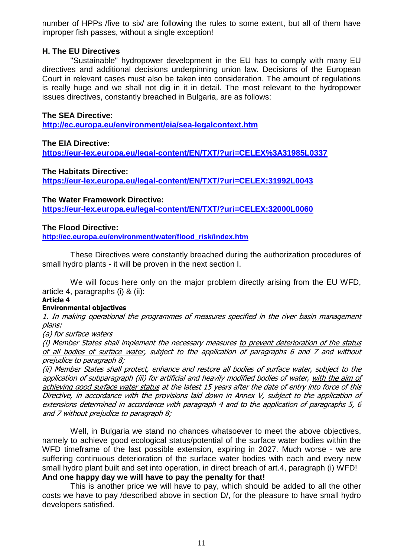number of HPPs /five to six/ are following the rules to some extent, but all of them have improper fish passes, without a single exception!

#### **H. The EU Directives**

"Sustainable" hydropower development in the EU has to comply with many EU directives and additional decisions underpinning union law. Decisions of the European Court in relevant cases must also be taken into consideration. The amount of regulations is really huge and we shall not dig in it in detail. The most relevant to the hydropower issues directives, constantly breached in Bulgaria, are as follows:

### **The SEA Directive**:

**<http://ec.europa.eu/environment/eia/sea-legalcontext.htm>**

**The EIA Directive: <https://eur-lex.europa.eu/legal-content/EN/TXT/?uri=CELEX%3A31985L0337>**

#### **The Habitats Directive:**

**<https://eur-lex.europa.eu/legal-content/EN/TXT/?uri=CELEX:31992L0043>**

**The Water Framework Directive:**

**<https://eur-lex.europa.eu/legal-content/EN/TXT/?uri=CELEX:32000L0060>**

# **The Flood Directive:**

**[http://ec.europa.eu/environment/water/flood\\_risk/index.htm](http://ec.europa.eu/environment/water/flood_risk/index.htm)**

These Directives were constantly breached during the authorization procedures of small hydro plants - it will be proven in the next section I.

We will focus here only on the major problem directly arising from the EU WFD, article 4, paragraphs (i) & (ii):

# **Article 4**

#### **Environmental objectives**

1. In making operational the programmes of measures specified in the river basin management plans:

(a) for surface waters

(i) Member States shall implement the necessary measures to prevent deterioration of the status of all bodies of surface water, subject to the application of paragraphs 6 and 7 and without prejudice to paragraph 8;

(ii) Member States shall protect, enhance and restore all bodies of surface water, subject to the application of subparagraph (iii) for artificial and heavily modified bodies of water, with the aim of achieving good surface water status at the latest 15 years after the date of entry into force of this Directive, in accordance with the provisions laid down in Annex V, subject to the application of extensions determined in accordance with paragraph 4 and to the application of paragraphs 5, 6 and 7 without prejudice to paragraph 8;

Well, in Bulgaria we stand no chances whatsoever to meet the above objectives, namely to achieve good ecological status/potential of the surface water bodies within the WFD timeframe of the last possible extension, expiring in 2027. Much worse - we are suffering continuous deterioration of the surface water bodies with each and every new small hydro plant built and set into operation, in direct breach of art.4, paragraph (i) WFD! **And one happy day we will have to pay the penalty for that!**

This is another price we will have to pay, which should be added to all the other costs we have to pay /described above in section D/, for the pleasure to have small hydro developers satisfied.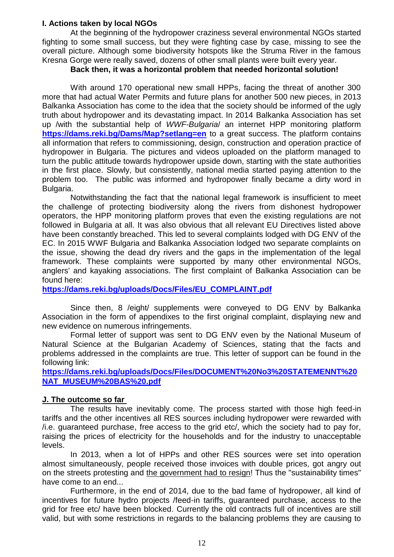# **I. Actions taken by local NGOs**

At the beginning of the hydropower craziness several environmental NGOs started fighting to some small success, but they were fighting case by case, missing to see the overall picture. Although some biodiversity hotspots like the Struma River in the famous Kresna Gorge were really saved, dozens of other small plants were built every year.

# **Back then, it was a horizontal problem that needed horizontal solution!**

With around 170 operational new small HPPs, facing the threat of another 300 more that had actual Water Permits and future plans for another 500 new pieces, in 2013 Balkanka Association has come to the idea that the society should be informed of the ugly truth about hydropower and its devastating impact. In 2014 Balkanka Association has set up /with the substantial help of *WWF-Bulgaria*/ an internet HPP monitoring platform **<https://dams.reki.bg/Dams/Map?setlang=en>** to a great success. The platform contains all information that refers to commissioning, design, construction and operation practice of hydropower in Bulgaria. The pictures and videos uploaded on the platform managed to turn the public attitude towards hydropower upside down, starting with the state authorities in the first place. Slowly, but consistently, national media started paying attention to the problem too. The public was informed and hydropower finally became a dirty word in Bulgaria.

Notwithstanding the fact that the national legal framework is insufficient to meet the challenge of protecting biodiversity along the rivers from dishonest hydropower operators, the HPP monitoring platform proves that even the existing regulations are not followed in Bulgaria at all. It was also obvious that all relevant EU Directives listed above have been constantly breached. This led to several complaints lodged with DG ENV of the EC. In 2015 WWF Bulgaria and Balkanka Association lodged two separate complaints on the issue, showing the dead dry rivers and the gaps in the implementation of the legal framework. These complaints were supported by many other environmental NGOs, anglers' and kayaking associations. The first complaint of Balkanka Association can be found here:

**[https://dams.reki.bg/uploads/Docs/Files/EU\\_COMPLAINT.pdf](https://dams.reki.bg/uploads/Docs/Files/EU_COMPLAINT.pdf)**

Since then, 8 /eight/ supplements were conveyed to DG ENV by Balkanka Association in the form of appendixes to the first original complaint, displaying new and new evidence on numerous infringements.

Formal letter of support was sent to DG ENV even by the National Museum of Natural Science at the Bulgarian Academy of Sciences, stating that the facts and problems addressed in the complaints are true. This letter of support can be found in the following link:

**[https://dams.reki.bg/uploads/Docs/Files/DOCUMENT%20No3%20STATEMENNT%20](https://dams.reki.bg/uploads/Docs/Files/DOCUMENT%20No3%20STATEMENNT%20NAT_MUSEUM%20BAS%20.pdf) [NAT\\_MUSEUM%20BAS%20.pdf](https://dams.reki.bg/uploads/Docs/Files/DOCUMENT%20No3%20STATEMENNT%20NAT_MUSEUM%20BAS%20.pdf)** 

# **J. The outcome so far**

The results have inevitably come. The process started with those high feed-in tariffs and the other incentives all RES sources including hydropower were rewarded with /i.e. guaranteed purchase, free access to the grid etc/, which the society had to pay for, raising the prices of electricity for the households and for the industry to unacceptable levels.

In 2013, when a lot of HPPs and other RES sources were set into operation almost simultaneously, people received those invoices with double prices, got angry out on the streets protesting and the government had to resign! Thus the "sustainability times" have come to an end...

Furthermore, in the end of 2014, due to the bad fame of hydropower, all kind of incentives for future hydro projects /feed-in tariffs, guaranteed purchase, access to the grid for free etc/ have been blocked. Currently the old contracts full of incentives are still valid, but with some restrictions in regards to the balancing problems they are causing to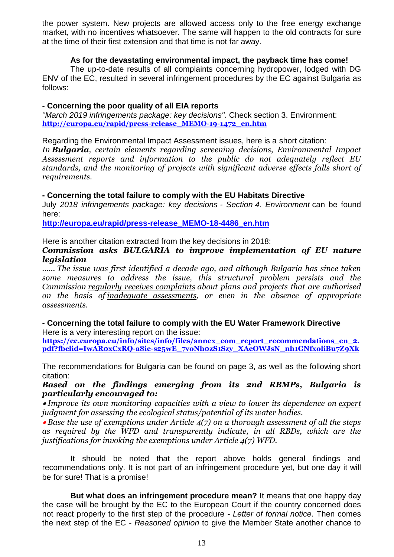the power system. New projects are allowed access only to the free energy exchange market, with no incentives whatsoever. The same will happen to the old contracts for sure at the time of their first extension and that time is not far away.

# **As for the devastating environmental impact, the payback time has come!**

The up-to-date results of all complaints concerning hydropower, lodged with DG ENV of the EC, resulted in several infringement procedures by the EC against Bulgaria as follows:

# **- Concerning the poor quality of all EIA reports**

*"March 2019 infringements package: key decisions".* Check section 3. Environment: **[http://europa.eu/rapid/press-release\\_MEMO-19-1472\\_en.htm](http://europa.eu/rapid/press-release_MEMO-19-1472_en.htm)**

Regarding the Environmental Impact Assessment issues, here is a short citation:

*In Bulgaria, certain elements regarding screening decisions, Environmental Impact Assessment reports and information to the public do not adequately reflect EU standards, and the monitoring of projects with significant adverse effects falls short of requirements.*

# **- Concerning the total failure to comply with the EU Habitats Directive**

July *2018 infringements package: key decisions - Section 4. Environment* can be found here:

**[http://europa.eu/rapid/press-release\\_MEMO-18-4486\\_en.htm](http://europa.eu/rapid/press-release_MEMO-18-4486_en.htm)**

Here is another citation extracted from the key decisions in 2018:

#### *Commission asks BULGARIA to improve implementation of EU nature legislation*

*...... The issue was first identified a decade ago, and although Bulgaria has since taken some measures to address the issue, this structural problem persists and the Commission regularly receives complaints about plans and projects that are authorised on the basis of inadequate assessments, or even in the absence of appropriate assessments.*

**- Concerning the total failure to comply with the EU Water Framework Directive** Here is a very interesting report on the issue:

**[https://ec.europa.eu/info/sites/info/files/annex\\_com\\_report\\_recommendations\\_en\\_2.](https://ec.europa.eu/info/sites/info/files/annex_com_report_recommendations_en_2.pdf?fbclid=IwAR0xCxRQ-a8ie-s25wE_7voNh0zS1Szy_XAeOWJsN_nh1GNfxoliBu7Z9Xk) [pdf?fbclid=IwAR0xCxRQ-a8ie-s25wE\\_7voNh0zS1Szy\\_XAeOWJsN\\_nh1GNfxoliBu7Z9Xk](https://ec.europa.eu/info/sites/info/files/annex_com_report_recommendations_en_2.pdf?fbclid=IwAR0xCxRQ-a8ie-s25wE_7voNh0zS1Szy_XAeOWJsN_nh1GNfxoliBu7Z9Xk)**

The recommendations for Bulgaria can be found on page 3, as well as the following short citation:

*Based on the findings emerging from its 2nd RBMPs, Bulgaria is particularly encouraged to:*

 *Improve its own monitoring capacities with a view to lower its dependence on expert judgment for assessing the ecological status/potential of its water bodies.*

 *Base the use of exemptions under Article 4(7) on a thorough assessment of all the steps as required by the WFD and transparently indicate, in all RBDs, which are the justifications for invoking the exemptions under Article 4(7) WFD.*

It should be noted that the report above holds general findings and recommendations only. It is not part of an infringement procedure yet, but one day it will be for sure! That is a promise!

**But what does an infringement procedure mean?** It means that one happy day the case will be brought by the EC to the European Court if the country concerned does not react properly to the first step of the procedure - *Letter of formal notice*. Then comes the next step of the EC - *Reasoned opinion* to give the Member State another chance to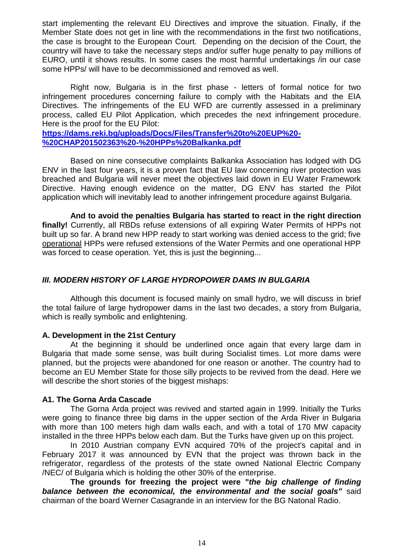start implementing the relevant EU Directives and improve the situation. Finally, if the Member State does not get in line with the recommendations in the first two notifications, the case is brought to the European Court. Depending on the decision of the Court, the country will have to take the necessary steps and/or suffer huge penalty to pay millions of EURO, until it shows results. In some cases the most harmful undertakings /in our case some HPPs/ will have to be decommissioned and removed as well.

Right now, Bulgaria is in the first phase - letters of formal notice for two infringement procedures concerning failure to comply with the Habitats and the EIA Directives. The infringements of the EU WFD are currently assessed in a preliminary process, called EU Pilot Application, which precedes the next infringement procedure. Here is the proof for the EU Pilot:

**[https://dams.reki.bg/uploads/Docs/Files/Transfer%20to%20EUP%20-](https://dams.reki.bg/uploads/Docs/Files/Transfer%20to%20EUP%20-%20CHAP201502363%20-%20HPPs%20Balkanka.pdf) [%20CHAP201502363%20-%20HPPs%20Balkanka.pdf](https://dams.reki.bg/uploads/Docs/Files/Transfer%20to%20EUP%20-%20CHAP201502363%20-%20HPPs%20Balkanka.pdf)**

Based on nine consecutive complaints Balkanka Association has lodged with DG ENV in the last four years, it is a proven fact that EU law concerning river protection was breached and Bulgaria will never meet the objectives laid down in EU Water Framework Directive. Having enough evidence on the matter, DG ENV has started the Pilot application which will inevitably lead to another infringement procedure against Bulgaria.

**And to avoid the penalties Bulgaria has started to react in the right direction finally!** Currently, all RBDs refuse extensions of all expiring Water Permits of HPPs not built up so far. A brand new HPP ready to start working was denied access to the grid; five operational HPPs were refused extensions of the Water Permits and one operational HPP was forced to cease operation. Yet, this is just the beginning...

# *III. MODERN HISTORY OF LARGE HYDROPOWER DAMS IN BULGARIA*

Although this document is focused mainly on small hydro, we will discuss in brief the total failure of large hydropower dams in the last two decades, a story from Bulgaria, which is really symbolic and enlightening.

# **A. Development in the 21st Century**

At the beginning it should be underlined once again that every large dam in Bulgaria that made some sense, was built during Socialist times. Lot more dams were planned, but the projects were abandoned for one reason or another. The country had to become an EU Member State for those silly projects to be revived from the dead. Here we will describe the short stories of the biggest mishaps:

# **A1. The Gorna Arda Cascade**

The Gorna Arda project was revived and started again in 1999. Initially the Turks were going to finance three big dams in the upper section of the Arda River in Bulgaria with more than 100 meters high dam walls each, and with a total of 170 MW capacity installed in the three HPPs below each dam. But the Turks have given up on this project.

In 2010 Austrian company EVN acquired 70% of the project's capital and in February 2017 it was announced by EVN that the project was thrown back in the refrigerator, regardless of the protests of the state owned National Electric Company /NEC/ of Bulgaria which is holding the other 30% of the enterprise.

**The grounds for freezing the project were "***the big challenge of finding balance between the economical, the environmental and the social goals"* said chairman of the board Werner Casagrande in an interview for the BG Natonal Radio.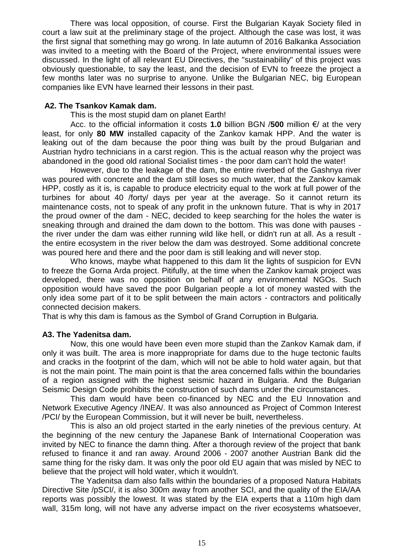There was local opposition, of course. First the Bulgarian Kayak Society filed in court a law suit at the preliminary stage of the project. Although the case was lost, it was the first signal that something may go wrong. In late autumn of 2016 Balkanka Association was invited to a meeting with the Board of the Project, where environmental issues were discussed. In the light of all relevant EU Directives, the "sustainability" of this project was obviously questionable, to say the least, and the decision of EVN to freeze the project a few months later was no surprise to anyone. Unlike the Bulgarian NEC, big European companies like EVN have learned their lessons in their past.

# **A2. The Tsankov Kamak dam.**

This is the most stupid dam on planet Earth!

Acc. to the official information it costs **1.0** billion BGN /**500** million €/ at the very least, for only **80 MW** installed capacity of the Zankov kamak HPP. And the water is leaking out of the dam because the poor thing was built by the proud Bulgarian and Austrian hydro technicians in a carst region. This is the actual reason why the project was abandoned in the good old rational Socialist times - the poor dam can't hold the water!

However, due to the leakage of the dam, the entire riverbed of the Gashnya river was poured with concrete and the dam still loses so much water, that the Zankov kamak HPP, costly as it is, is capable to produce electricity equal to the work at full power of the turbines for about 40 /forty/ days per year at the average. So it cannot return its maintenance costs, not to speak of any profit in the unknown future. That is why in 2017 the proud owner of the dam - NEC, decided to keep searching for the holes the water is sneaking through and drained the dam down to the bottom. This was done with pauses the river under the dam was either running wild like hell, or didn't run at all. As a result the entire ecosystem in the river below the dam was destroyed. Some additional concrete was poured here and there and the poor dam is still leaking and will never stop.

Who knows, maybe what happened to this dam lit the lights of suspicion for EVN to freeze the Gorna Arda project. Pitifully, at the time when the Zankov kamak project was developed, there was no opposition on behalf of any environmental NGOs. Such opposition would have saved the poor Bulgarian people a lot of money wasted with the only idea some part of it to be split between the main actors - contractors and politically connected decision makers.

That is why this dam is famous as the Symbol of Grand Corruption in Bulgaria.

# **A3. The Yadenitsa dam.**

Now, this one would have been even more stupid than the Zankov Kamak dam, if only it was built. The area is more inappropriate for dams due to the huge tectonic faults and cracks in the footprint of the dam, which will not be able to hold water again, but that is not the main point. The main point is that the area concerned falls within the boundaries of a region assigned with the highest seismic hazard in Bulgaria. And the Bulgarian Seismic Design Code prohibits the construction of such dams under the circumstances.

This dam would have been co-financed by NEC and the EU Innovation and Network Executive Agency /INEA/. It was also announced as Project of Common Interest /PCI/ by the European Commission, but it will never be built, nevertheless.

This is also an old project started in the early nineties of the previous century. At the beginning of the new century the Japanese Bank of International Cooperation was invited by NEC to finance the damn thing. After a thorough review of the project that bank refused to finance it and ran away. Around 2006 - 2007 another Austrian Bank did the same thing for the risky dam. It was only the poor old EU again that was misled by NEC to believe that the project will hold water, which it wouldn't.

The Yadenitsa dam also falls within the boundaries of a proposed Natura Habitats Directive Site /pSCI/, it is also 300m away from another SCI, and the quality of the EIA/AA reports was possibly the lowest. It was stated by the EIA experts that a 110m high dam wall, 315m long, will not have any adverse impact on the river ecosystems whatsoever,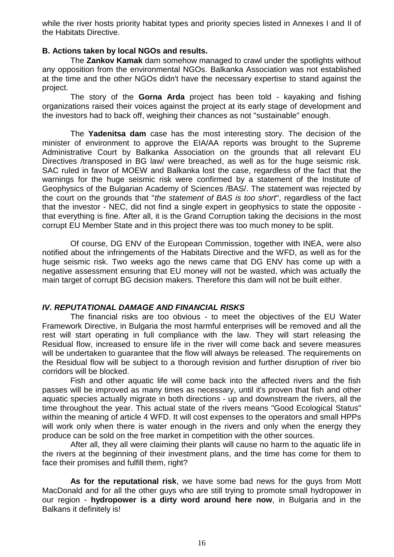while the river hosts priority habitat types and priority species listed in Annexes I and II of the Habitats Directive.

# **B. Actions taken by local NGOs and results.**

The **Zankov Kamak** dam somehow managed to crawl under the spotlights without any opposition from the environmental NGOs. Balkanka Association was not established at the time and the other NGOs didn't have the necessary expertise to stand against the project.

The story of the **Gorna Arda** project has been told - kayaking and fishing organizations raised their voices against the project at its early stage of development and the investors had to back off, weighing their chances as not "sustainable" enough.

The **Yadenitsa dam** case has the most interesting story. The decision of the minister of environment to approve the EIA/AA reports was brought to the Supreme Administrative Court by Balkanka Association on the grounds that all relevant EU Directives /transposed in BG law/ were breached, as well as for the huge seismic risk. SAC ruled in favor of MOEW and Balkanka lost the case, regardless of the fact that the warnings for the huge seismic risk were confirmed by a statement of the Institute of Geophysics of the Bulgarian Academy of Sciences /BAS/. The statement was rejected by the court on the grounds that "*the statement of BAS is too short*", regardless of the fact that the investor - NEC, did not find a single expert in geophysics to state the opposite that everything is fine. After all, it is the Grand Corruption taking the decisions in the most corrupt EU Member State and in this project there was too much money to be split.

Of course, DG ENV of the European Commission, together with INEA, were also notified about the infringements of the Habitats Directive and the WFD, as well as for the huge seismic risk. Two weeks ago the news came that DG ENV has come up with a negative assessment ensuring that EU money will not be wasted, which was actually the main target of corrupt BG decision makers. Therefore this dam will not be built either.

# *IV. REPUTATIONAL DAMAGE AND FINANCIAL RISKS*

The financial risks are too obvious - to meet the objectives of the EU Water Framework Directive, in Bulgaria the most harmful enterprises will be removed and all the rest will start operating in full compliance with the law. They will start releasing the Residual flow, increased to ensure life in the river will come back and severe measures will be undertaken to guarantee that the flow will always be released. The requirements on the Residual flow will be subject to a thorough revision and further disruption of river bio corridors will be blocked.

Fish and other aquatic life will come back into the affected rivers and the fish passes will be improved as many times as necessary, until it's proven that fish and other aquatic species actually migrate in both directions - up and downstream the rivers, all the time throughout the year. This actual state of the rivers means "Good Ecological Status" within the meaning of article 4 WFD. It will cost expenses to the operators and small HPPs will work only when there is water enough in the rivers and only when the energy they produce can be sold on the free market in competition with the other sources.

After all, they all were claiming their plants will cause no harm to the aquatic life in the rivers at the beginning of their investment plans, and the time has come for them to face their promises and fulfill them, right?

**As for the reputational risk**, we have some bad news for the guys from Mott MacDonald and for all the other guys who are still trying to promote small hydropower in our region - **hydropower is a dirty word around here now**, in Bulgaria and in the Balkans it definitely is!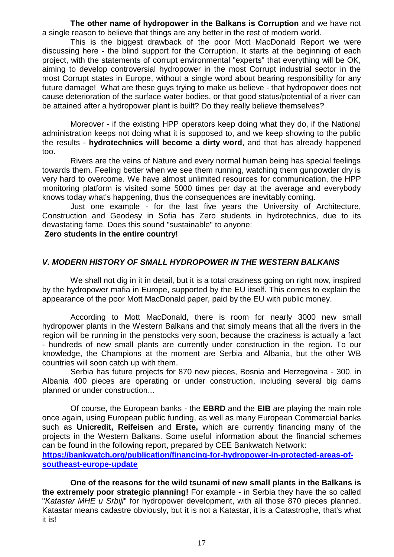**The other name of hydropower in the Balkans is Corruption** and we have not a single reason to believe that things are any better in the rest of modern world.

This is the biggest drawback of the poor Mott MacDonald Report we were discussing here - the blind support for the Corruption. It starts at the beginning of each project, with the statements of corrupt environmental "experts" that everything will be OK, aiming to develop controversial hydropower in the most Corrupt industrial sector in the most Corrupt states in Europe, without a single word about bearing responsibility for any future damage! What are these guys trying to make us believe - that hydropower does not cause deterioration of the surface water bodies, or that good status/potential of a river can be attained after a hydropower plant is built? Do they really believe themselves?

Moreover - if the existing HPP operators keep doing what they do, if the National administration keeps not doing what it is supposed to, and we keep showing to the public the results - **hydrotechnics will become a dirty word**, and that has already happened too.

Rivers are the veins of Nature and every normal human being has special feelings towards them. Feeling better when we see them running, watching them gunpowder dry is very hard to overcome. We have almost unlimited resources for communication, the HPP monitoring platform is visited some 5000 times per day at the average and everybody knows today what's happening, thus the consequences are inevitably coming.

Just one example - for the last five years the University of Architecture, Construction and Geodesy in Sofia has Zero students in hydrotechnics, due to its devastating fame. Does this sound "sustainable" to anyone:

#### **Zero students in the entire country!**

#### *V. MODERN HISTORY OF SMALL HYDROPOWER IN THE WESTERN BALKANS*

We shall not dig in it in detail, but it is a total craziness going on right now, inspired by the hydropower mafia in Europe, supported by the EU itself. This comes to explain the appearance of the poor Mott MacDonald paper, paid by the EU with public money.

According to Mott MacDonald, there is room for nearly 3000 new small hydropower plants in the Western Balkans and that simply means that all the rivers in the region will be running in the penstocks very soon, because the craziness is actually a fact - hundreds of new small plants are currently under construction in the region. To our knowledge, the Champions at the moment are Serbia and Albania, but the other WB countries will soon catch up with them.

Serbia has future projects for 870 new pieces, Bosnia and Herzegovina - 300, in Albania 400 pieces are operating or under construction, including several big dams planned or under construction...

Of course, the European banks - the **EBRD** and the **EIB** are playing the main role once again, using European public funding, as well as many European Commercial banks such as **Unicredit, Reifeisen** and **Erste,** which are currently financing many of the projects in the Western Balkans. Some useful information about the financial schemes can be found in the following report, prepared by CEE Bankwatch Network: **[https://bankwatch.org/publication/financing-for-hydropower-in-protected-areas-of-](https://bankwatch.org/publication/financing-for-hydropower-in-protected-areas-of-southeast-europe-update)**

**[southeast-europe-update](https://bankwatch.org/publication/financing-for-hydropower-in-protected-areas-of-southeast-europe-update)**

**One of the reasons for the wild tsunami of new small plants in the Balkans is the extremely poor strategic planning!** For example - in Serbia they have the so called "*Katastar MHE u Srbiji*" for hydropower development, with all those 870 pieces planned. Katastar means cadastre obviously, but it is not a Katastar, it is a Catastrophe, that's what it is!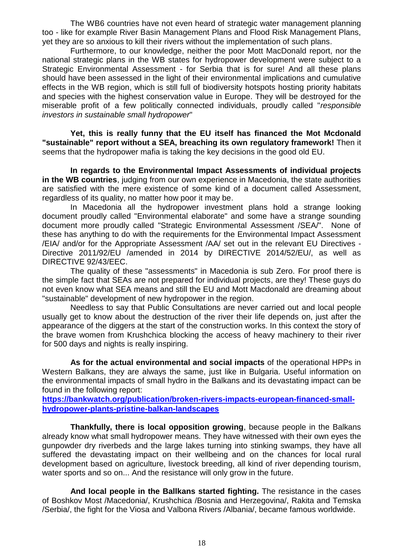The WB6 countries have not even heard of strategic water management planning too - like for example River Basin Management Plans and Flood Risk Management Plans, yet they are so anxious to kill their rivers without the implementation of such plans.

Furthermore, to our knowledge, neither the poor Mott MacDonald report, nor the national strategic plans in the WB states for hydropower development were subject to a Strategic Environmental Assessment - for Serbia that is for sure! And all these plans should have been assessed in the light of their environmental implications and cumulative effects in the WB region, which is still full of biodiversity hotspots hosting priority habitats and species with the highest conservation value in Europe. They will be destroyed for the miserable profit of a few politically connected individuals, proudly called "*responsible investors in sustainable small hydropower*"

**Yet, this is really funny that the EU itself has financed the Mot Mcdonald "sustainable" report without a SEA, breaching its own regulatory framework!** Then it seems that the hydropower mafia is taking the key decisions in the good old EU.

**In regards to the Environmental Impact Assessments of individual projects in the WB countries**, judging from our own experience in Macedonia, the state authorities are satisfied with the mere existence of some kind of a document called Assessment, regardless of its quality, no matter how poor it may be.

In Macedonia all the hydropower investment plans hold a strange looking document proudly called "Environmental elaborate" and some have a strange sounding document more proudly called "Strategic Environmental Assessment /SEA/". None of these has anything to do with the requirements for the Environmental Impact Assessment /EIA/ and/or for the Appropriate Assessment /AA/ set out in the relevant EU Directives - Directive 2011/92/EU /amended in 2014 by DIRECTIVE 2014/52/EU/, as well as DIRECTIVE 92/43/EEC.

The quality of these "assessments" in Macedonia is sub Zero. For proof there is the simple fact that SEAs are not prepared for individual projects, are they! These guys do not even know what SEA means and still the EU and Mott Macdonald are dreaming about "sustainable" development of new hydropower in the region.

Needless to say that Public Consultations are never carried out and local people usually get to know about the destruction of the river their life depends on, just after the appearance of the diggers at the start of the construction works. In this context the story of the brave women from Krushchica blocking the access of heavy machinery to their river for 500 days and nights is really inspiring.

**As for the actual environmental and social impacts** of the operational HPPs in Western Balkans, they are always the same, just like in Bulgaria. Useful information on the environmental impacts of small hydro in the Balkans and its devastating impact can be found in the following report:

**[https://bankwatch.org/publication/broken-rivers-impacts-european-financed-small](https://bankwatch.org/publication/broken-rivers-impacts-european-financed-small-hydropower-plants-pristine-balkan-landscapes)[hydropower-plants-pristine-balkan-landscapes](https://bankwatch.org/publication/broken-rivers-impacts-european-financed-small-hydropower-plants-pristine-balkan-landscapes)**

**Thankfully, there is local opposition growing**, because people in the Balkans already know what small hydropower means. They have witnessed with their own eyes the gunpowder dry riverbeds and the large lakes turning into stinking swamps, they have all suffered the devastating impact on their wellbeing and on the chances for local rural development based on agriculture, livestock breeding, all kind of river depending tourism, water sports and so on... And the resistance will only grow in the future.

**And local people in the Ballkans started fighting.** The resistance in the cases of Boshkov Most /Macedonia/, Krushchica /Bosnia and Herzegovina/, Rakita and Temska /Serbia/, the fight for the Viosa and Valbona Rivers /Albania/, became famous worldwide.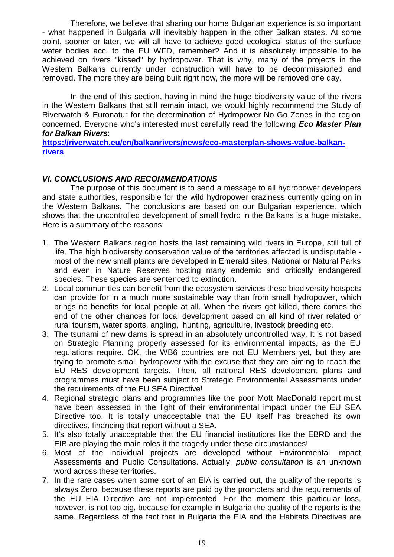Therefore, we believe that sharing our home Bulgarian experience is so important - what happened in Bulgaria will inevitably happen in the other Balkan states. At some point, sooner or later, we will all have to achieve good ecological status of the surface water bodies acc. to the EU WFD, remember? And it is absolutely impossible to be achieved on rivers "kissed" by hydropower. That is why, many of the projects in the Western Balkans currently under construction will have to be decommissioned and removed. The more they are being built right now, the more will be removed one day.

In the end of this section, having in mind the huge biodiversity value of the rivers in the Western Balkans that still remain intact, we would highly recommend the Study of Riverwatch & Euronatur for the determination of Hydropower No Go Zones in the region concerned. Everyone who's interested must carefully read the following *Eco Master Plan for Balkan Rivers*:

**[https://riverwatch.eu/en/balkanrivers/news/eco-masterplan-shows-value-balkan](https://riverwatch.eu/en/balkanrivers/news/eco-masterplan-shows-value-balkan-rivers)[rivers](https://riverwatch.eu/en/balkanrivers/news/eco-masterplan-shows-value-balkan-rivers)**

# *VI. CONCLUSIONS AND RECOMMENDATIONS*

The purpose of this document is to send a message to all hydropower developers and state authorities, responsible for the wild hydropower craziness currently going on in the Western Balkans. The conclusions are based on our Bulgarian experience, which shows that the uncontrolled development of small hydro in the Balkans is a huge mistake. Here is a summary of the reasons:

- 1. The Western Balkans region hosts the last remaining wild rivers in Europe, still full of life. The high biodiversity conservation value of the territories affected is undisputable most of the new small plants are developed in Emerald sites, National or Natural Parks and even in Nature Reserves hosting many endemic and critically endangered species. These species are sentenced to extinction.
- 2. Local communities can benefit from the ecosystem services these biodiversity hotspots can provide for in a much more sustainable way than from small hydropower, which brings no benefits for local people at all. When the rivers get killed, there comes the end of the other chances for local development based on all kind of river related or rural tourism, water sports, angling, hunting, agriculture, livestock breeding etc.
- 3. The tsunami of new dams is spread in an absolutely uncontrolled way. It is not based on Strategic Planning properly assessed for its environmental impacts, as the EU regulations require. OK, the WB6 countries are not EU Members yet, but they are trying to promote small hydropower with the excuse that they are aiming to reach the EU RES development targets. Then, all national RES development plans and programmes must have been subject to Strategic Environmental Assessments under the requirements of the EU SEA Directive!
- 4. Regional strategic plans and programmes like the poor Mott MacDonald report must have been assessed in the light of their environmental impact under the EU SEA Directive too. It is totally unacceptable that the EU itself has breached its own directives, financing that report without a SEA.
- 5. It's also totally unacceptable that the EU financial institutions like the EBRD and the EIB are playing the main roles it the tragedy under these circumstances!
- 6. Most of the individual projects are developed without Environmental Impact Assessments and Public Consultations. Actually, *public consultation* is an unknown word across these territories.
- 7. In the rare cases when some sort of an EIA is carried out, the quality of the reports is always Zero, because these reports are paid by the promoters and the requirements of the EU EIA Directive are not implemented. For the moment this particular loss, however, is not too big, because for example in Bulgaria the quality of the reports is the same. Regardless of the fact that in Bulgaria the EIA and the Habitats Directives are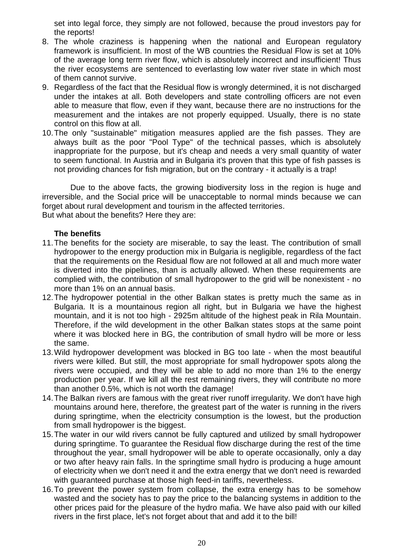set into legal force, they simply are not followed, because the proud investors pay for the reports!

- 8. The whole craziness is happening when the national and European regulatory framework is insufficient. In most of the WB countries the Residual Flow is set at 10% of the average long term river flow, which is absolutely incorrect and insufficient! Thus the river ecosystems are sentenced to everlasting low water river state in which most of them cannot survive.
- 9. Regardless of the fact that the Residual flow is wrongly determined, it is not discharged under the intakes at all. Both developers and state controlling officers are not even able to measure that flow, even if they want, because there are no instructions for the measurement and the intakes are not properly equipped. Usually, there is no state control on this flow at all.
- 10.The only "sustainable" mitigation measures applied are the fish passes. They are always built as the poor "Pool Type" of the technical passes, which is absolutely inappropriate for the purpose, but it's cheap and needs a very small quantity of water to seem functional. In Austria and in Bulgaria it's proven that this type of fish passes is not providing chances for fish migration, but on the contrary - it actually is a trap!

Due to the above facts, the growing biodiversity loss in the region is huge and irreversible, and the Social price will be unacceptable to normal minds because we can forget about rural development and tourism in the affected territories. But what about the benefits? Here they are:

# **The benefits**

- 11.The benefits for the society are miserable, to say the least. The contribution of small hydropower to the energy production mix in Bulgaria is negligible, regardless of the fact that the requirements on the Residual flow are not followed at all and much more water is diverted into the pipelines, than is actually allowed. When these requirements are complied with, the contribution of small hydropower to the grid will be nonexistent - no more than 1% on an annual basis.
- 12.The hydropower potential in the other Balkan states is pretty much the same as in Bulgaria. It is a mountainous region all right, but in Bulgaria we have the highest mountain, and it is not too high - 2925m altitude of the highest peak in Rila Mountain. Therefore, if the wild development in the other Balkan states stops at the same point where it was blocked here in BG, the contribution of small hydro will be more or less the same.
- 13.Wild hydropower development was blocked in BG too late when the most beautiful rivers were killed. But still, the most appropriate for small hydropower spots along the rivers were occupied, and they will be able to add no more than 1% to the energy production per year. If we kill all the rest remaining rivers, they will contribute no more than another 0.5%, which is not worth the damage!
- 14.The Balkan rivers are famous with the great river runoff irregularity. We don't have high mountains around here, therefore, the greatest part of the water is running in the rivers during springtime, when the electricity consumption is the lowest, but the production from small hydropower is the biggest.
- 15.The water in our wild rivers cannot be fully captured and utilized by small hydropower during springtime. To guarantee the Residual flow discharge during the rest of the time throughout the year, small hydropower will be able to operate occasionally, only a day or two after heavy rain falls. In the springtime small hydro is producing a huge amount of electricity when we don't need it and the extra energy that we don't need is rewarded with guaranteed purchase at those high feed-in tariffs, nevertheless.
- 16.To prevent the power system from collapse, the extra energy has to be somehow wasted and the society has to pay the price to the balancing systems in addition to the other prices paid for the pleasure of the hydro mafia. We have also paid with our killed rivers in the first place, let's not forget about that and add it to the bill!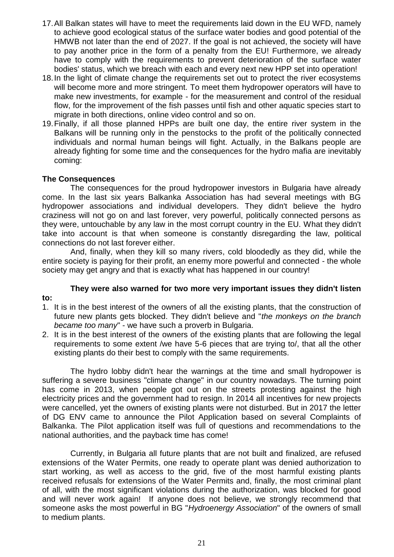- 17.All Balkan states will have to meet the requirements laid down in the EU WFD, namely to achieve good ecological status of the surface water bodies and good potential of the HMWB not later than the end of 2027. If the goal is not achieved, the society will have to pay another price in the form of a penalty from the EU! Furthermore, we already have to comply with the requirements to prevent deterioration of the surface water bodies' status, which we breach with each and every next new HPP set into operation!
- 18.In the light of climate change the requirements set out to protect the river ecosystems will become more and more stringent. To meet them hydropower operators will have to make new investments, for example - for the measurement and control of the residual flow, for the improvement of the fish passes until fish and other aquatic species start to migrate in both directions, online video control and so on.
- 19.Finally, if all those planned HPPs are built one day, the entire river system in the Balkans will be running only in the penstocks to the profit of the politically connected individuals and normal human beings will fight. Actually, in the Balkans people are already fighting for some time and the consequences for the hydro mafia are inevitably coming:

# **The Consequences**

**to:**

The consequences for the proud hydropower investors in Bulgaria have already come. In the last six years Balkanka Association has had several meetings with BG hydropower associations and individual developers. They didn't believe the hydro craziness will not go on and last forever, very powerful, politically connected persons as they were, untouchable by any law in the most corrupt country in the EU. What they didn't take into account is that when someone is constantly disregarding the law, political connections do not last forever either.

And, finally, when they kill so many rivers, cold bloodedly as they did, while the entire society is paying for their profit, an enemy more powerful and connected - the whole society may get angry and that is exactly what has happened in our country!

# **They were also warned for two more very important issues they didn't listen**

- 1. It is in the best interest of the owners of all the existing plants, that the construction of future new plants gets blocked. They didn't believe and "*the monkeys on the branch became too many*" - we have such a proverb in Bulgaria.
- 2. It is in the best interest of the owners of the existing plants that are following the legal requirements to some extent /we have 5-6 pieces that are trying to/, that all the other existing plants do their best to comply with the same requirements.

The hydro lobby didn't hear the warnings at the time and small hydropower is suffering a severe business "climate change" in our country nowadays. The turning point has come in 2013, when people got out on the streets protesting against the high electricity prices and the government had to resign. In 2014 all incentives for new projects were cancelled, yet the owners of existing plants were not disturbed. But in 2017 the letter of DG ENV came to announce the Pilot Application based on several Complaints of Balkanka. The Pilot application itself was full of questions and recommendations to the national authorities, and the payback time has come!

Currently, in Bulgaria all future plants that are not built and finalized, are refused extensions of the Water Permits, one ready to operate plant was denied authorization to start working, as well as access to the grid, five of the most harmful existing plants received refusals for extensions of the Water Permits and, finally, the most criminal plant of all, with the most significant violations during the authorization, was blocked for good and will never work again! If anyone does not believe, we strongly recommend that someone asks the most powerful in BG "*Hydroenergy Association*" of the owners of small to medium plants.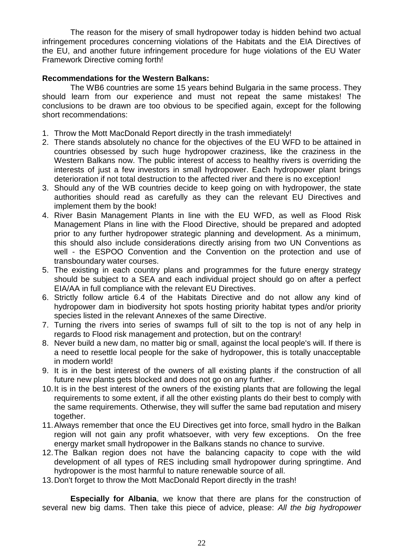The reason for the misery of small hydropower today is hidden behind two actual infringement procedures concerning violations of the Habitats and the EIA Directives of the EU, and another future infringement procedure for huge violations of the EU Water Framework Directive coming forth!

# **Recommendations for the Western Balkans:**

The WB6 countries are some 15 years behind Bulgaria in the same process. They should learn from our experience and must not repeat the same mistakes! The conclusions to be drawn are too obvious to be specified again, except for the following short recommendations:

- 1. Throw the Mott MacDonald Report directly in the trash immediately!
- 2. There stands absolutely no chance for the objectives of the EU WFD to be attained in countries obsessed by such huge hydropower craziness, like the craziness in the Western Balkans now. The public interest of access to healthy rivers is overriding the interests of just a few investors in small hydropower. Each hydropower plant brings deterioration if not total destruction to the affected river and there is no exception!
- 3. Should any of the WB countries decide to keep going on with hydropower, the state authorities should read as carefully as they can the relevant EU Directives and implement them by the book!
- 4. River Basin Management Plants in line with the EU WFD, as well as Flood Risk Management Plans in line with the Flood Directive, should be prepared and adopted prior to any further hydropower strategic planning and development. As a minimum, this should also include considerations directly arising from two UN Conventions as well - the ESPOO Convention and the Convention on the protection and use of transboundary water courses.
- 5. The existing in each country plans and programmes for the future energy strategy should be subject to a SEA and each individual project should go on after a perfect EIA/AA in full compliance with the relevant EU Directives.
- 6. Strictly follow article 6.4 of the Habitats Directive and do not allow any kind of hydropower dam in biodiversity hot spots hosting priority habitat types and/or priority species listed in the relevant Annexes of the same Directive.
- 7. Turning the rivers into series of swamps full of silt to the top is not of any help in regards to Flood risk management and protection, but on the contrary!
- 8. Never build a new dam, no matter big or small, against the local people's will. If there is a need to resettle local people for the sake of hydropower, this is totally unacceptable in modern world!
- 9. It is in the best interest of the owners of all existing plants if the construction of all future new plants gets blocked and does not go on any further.
- 10.It is in the best interest of the owners of the existing plants that are following the legal requirements to some extent, if all the other existing plants do their best to comply with the same requirements. Otherwise, they will suffer the same bad reputation and misery together.
- 11.Always remember that once the EU Directives get into force, small hydro in the Balkan region will not gain any profit whatsoever, with very few exceptions. On the free energy market small hydropower in the Balkans stands no chance to survive.
- 12.The Balkan region does not have the balancing capacity to cope with the wild development of all types of RES including small hydropower during springtime. And hydropower is the most harmful to nature renewable source of all.
- 13.Don't forget to throw the Mott MacDonald Report directly in the trash!

**Especially for Albania**, we know that there are plans for the construction of several new big dams. Then take this piece of advice, please: *All the big hydropower*